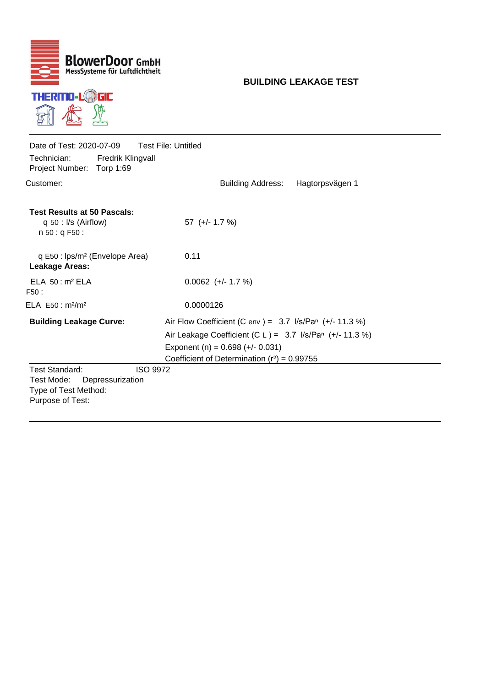

## **BUILDING LEAKAGE TEST**

| Date of Test: 2020-07-09<br>Technician:<br>Project Number: Torp 1:69            | <b>Fredrik Klingvall</b>            | <b>Test File: Untitled</b>                                                                                                                          |  |  |  |  |
|---------------------------------------------------------------------------------|-------------------------------------|-----------------------------------------------------------------------------------------------------------------------------------------------------|--|--|--|--|
| Customer:                                                                       |                                     | <b>Building Address:</b><br>Hagtorpsvägen 1                                                                                                         |  |  |  |  |
| <b>Test Results at 50 Pascals:</b><br>$q 50$ : I/s (Airflow)<br>n 50: q F50:    |                                     | $57 (+/- 1.7 %)$                                                                                                                                    |  |  |  |  |
| q E50 : lps/m <sup>2</sup> (Envelope Area)<br><b>Leakage Areas:</b>             |                                     | 0.11                                                                                                                                                |  |  |  |  |
| ELA 50: m <sup>2</sup> ELA<br>F50:                                              |                                     | $0.0062$ (+/- 1.7 %)                                                                                                                                |  |  |  |  |
| ELA $E50 : m2/m2$                                                               |                                     | 0.0000126                                                                                                                                           |  |  |  |  |
| <b>Building Leakage Curve:</b>                                                  |                                     | Air Flow Coefficient (C env ) = $3.7$ I/s/Pan (+/-11.3 %)                                                                                           |  |  |  |  |
|                                                                                 |                                     | Air Leakage Coefficient (C L ) = $3.7$ I/s/Pan (+/- 11.3 %)<br>Exponent (n) = $0.698$ (+/- 0.031)<br>Coefficient of Determination $(r^2) = 0.99755$ |  |  |  |  |
| <b>Test Standard:</b><br>Test Mode:<br>Type of Test Method:<br>Purpose of Test: | <b>ISO 9972</b><br>Depressurization |                                                                                                                                                     |  |  |  |  |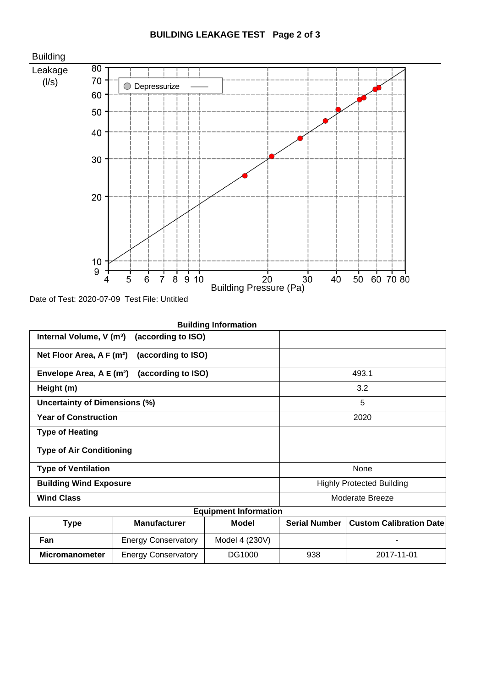

Date of Test: 2020-07-09 Test File: Untitled

| <b>Building Information</b>                                 |                                  |
|-------------------------------------------------------------|----------------------------------|
| Internal Volume, V (m <sup>3</sup> ) (according to ISO)     |                                  |
| Net Floor Area, A F (m <sup>2</sup> )<br>(according to ISO) |                                  |
| (according to ISO)<br>Envelope Area, A E (m <sup>2</sup> )  | 493.1                            |
| Height (m)                                                  | 3.2                              |
| <b>Uncertainty of Dimensions (%)</b>                        | 5                                |
| <b>Year of Construction</b>                                 | 2020                             |
| <b>Type of Heating</b>                                      |                                  |
| <b>Type of Air Conditioning</b>                             |                                  |
| <b>Type of Ventilation</b>                                  | None                             |
| <b>Building Wind Exposure</b>                               | <b>Highly Protected Building</b> |
| <b>Wind Class</b>                                           | Moderate Breeze                  |
| Eautomant Information                                       |                                  |

| <b>Equipment Information</b> |                            |                |                      |                                |  |  |  |
|------------------------------|----------------------------|----------------|----------------------|--------------------------------|--|--|--|
| Type                         | <b>Manufacturer</b>        | Model          | <b>Serial Number</b> | <b>Custom Calibration Date</b> |  |  |  |
| Fan                          | <b>Energy Conservatory</b> | Model 4 (230V) |                      |                                |  |  |  |
| <b>Micromanometer</b>        | <b>Energy Conservatory</b> | DG1000         | 938                  | 2017-11-01                     |  |  |  |